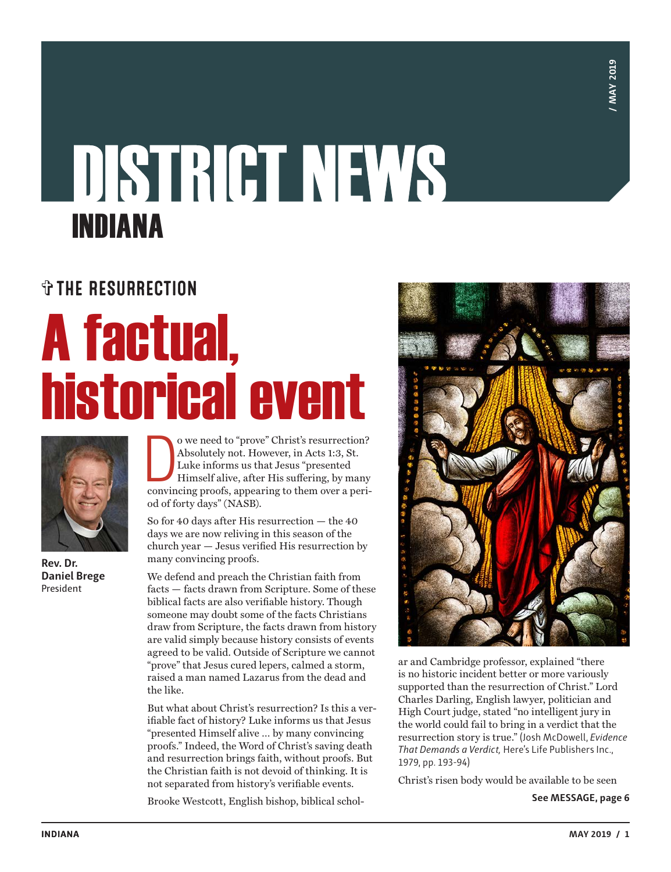**MAY 2019 / MAY 2019**

## **DISTRICT NEWS** INDIANA

### ✞THE RESURRECTION

## A factual, historical event



**Rev. Dr. Daniel Brege** President

o we need to "prove" Christ's resurrection?<br>Absolutely not. However, in Acts 1:3, St.<br>Luke informs us that Jesus "presented<br>Himself alive, after His suffering, by many<br>convincing proofs, appearing to them over a perio we need to "prove" Christ's resurrection? Absolutely not. However, in Acts 1:3, St. Luke informs us that Jesus "presented Himself alive, after His suffering, by many od of forty days" (NASB).

So for 40 days after His resurrection — the 40 days we are now reliving in this season of the church year — Jesus verified His resurrection by many convincing proofs.

We defend and preach the Christian faith from facts — facts drawn from Scripture. Some of these biblical facts are also verifiable history. Though someone may doubt some of the facts Christians draw from Scripture, the facts drawn from history are valid simply because history consists of events agreed to be valid. Outside of Scripture we cannot "prove" that Jesus cured lepers, calmed a storm, raised a man named Lazarus from the dead and the like.

But what about Christ's resurrection? Is this a verifiable fact of history? Luke informs us that Jesus "presented Himself alive … by many convincing proofs." Indeed, the Word of Christ's saving death and resurrection brings faith, without proofs. But the Christian faith is not devoid of thinking. It is not separated from history's verifiable events.

Brooke Westcott, English bishop, biblical schol-



ar and Cambridge professor, explained "there is no historic incident better or more variously supported than the resurrection of Christ." Lord Charles Darling, English lawyer, politician and High Court judge, stated "no intelligent jury in the world could fail to bring in a verdict that the resurrection story is true." (Josh McDowell, *Evidence That Demands a Verdict,* Here's Life Publishers Inc., 1979, pp. 193-94)

Christ's risen body would be available to be seen

**See MESSAGE, page 6**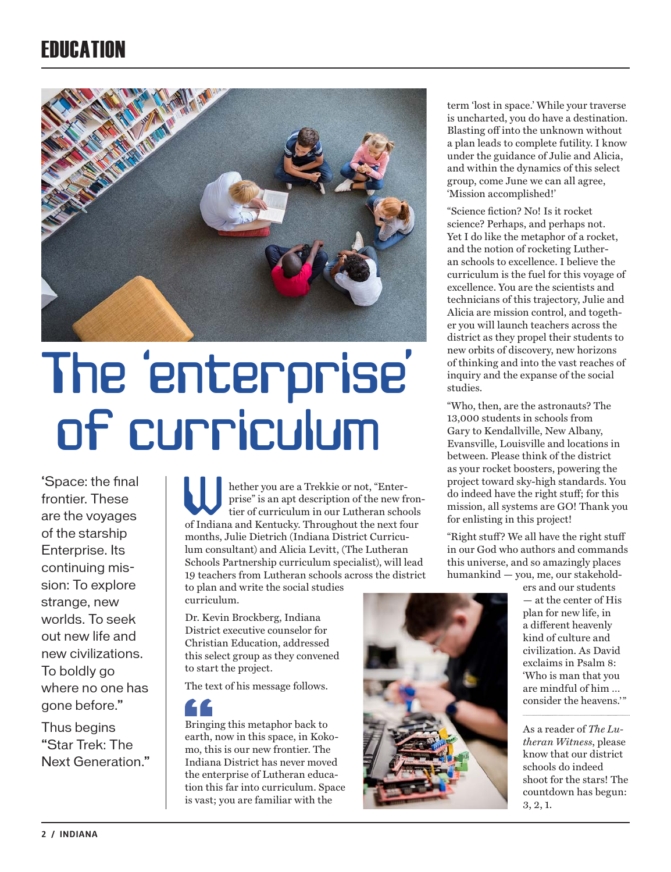## **FRIICATION**



## The 'enterprise' of curriculum

'Space: the final frontier. These are the voyages of the starship Enterprise. Its continuing mission: To explore strange, new worlds. To seek out new life and new civilizations. To boldly go where no one has gone before."

Thus begins "Star Trek: The Next Generation."

hether you are a Trekkie or not, "Enterprise" is an apt description of the new frontier of curriculum in our Lutheran schools **Explore Indiana** and Kentucky. Throughout the new from the Indiana and Kentucky. Throughout the next four months, Julie Dietrich (Indiana District Curriculum consultant) and Alicia Levitt, (The Lutheran Schools Partnership curriculum specialist), will lead 19 teachers from Lutheran schools across the district to plan and write the social studies

curriculum.

Dr. Kevin Brockberg, Indiana District executive counselor for Christian Education, addressed this select group as they convened to start the project.

The text of his message follows.



Bringing this metaphor back to earth, now in this space, in Kokomo, this is our new frontier. The Indiana District has never moved the enterprise of Lutheran education this far into curriculum. Space is vast; you are familiar with the



term 'lost in space.' While your traverse is uncharted, you do have a destination. Blasting off into the unknown without a plan leads to complete futility. I know under the guidance of Julie and Alicia, and within the dynamics of this select group, come June we can all agree, 'Mission accomplished!'

"Science fiction? No! Is it rocket science? Perhaps, and perhaps not. Yet I do like the metaphor of a rocket, and the notion of rocketing Lutheran schools to excellence. I believe the curriculum is the fuel for this voyage of excellence. You are the scientists and technicians of this trajectory, Julie and Alicia are mission control, and together you will launch teachers across the district as they propel their students to new orbits of discovery, new horizons of thinking and into the vast reaches of inquiry and the expanse of the social studies.

"Who, then, are the astronauts? The 13,000 students in schools from Gary to Kendallville, New Albany, Evansville, Louisville and locations in between. Please think of the district as your rocket boosters, powering the project toward sky-high standards. You do indeed have the right stuff; for this mission, all systems are GO! Thank you for enlisting in this project!

"Right stuff? We all have the right stuff in our God who authors and commands this universe, and so amazingly places humankind — you, me, our stakehold-

> ers and our students — at the center of His plan for new life, in a different heavenly kind of culture and civilization. As David exclaims in Psalm 8: 'Who is man that you are mindful of him … consider the heavens."

As a reader of *The Lutheran Witness*, please know that our district schools do indeed shoot for the stars! The countdown has begun: 3, 2, 1.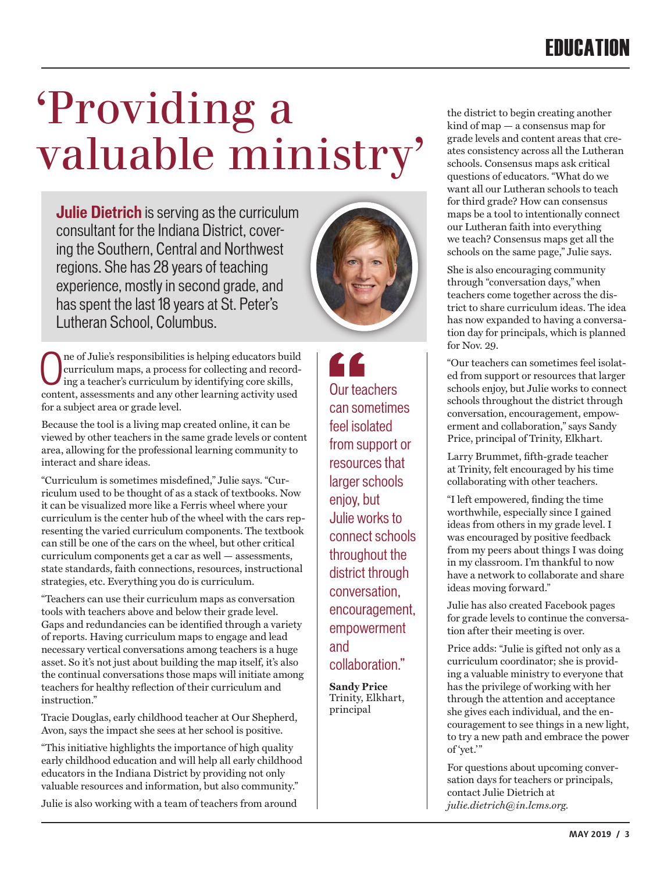## 'Providing a valuable ministry'

**Julie Dietrich** is serving as the curriculum consultant for the Indiana District, covering the Southern, Central and Northwest regions. She has 28 years of teaching experience, mostly in second grade, and has spent the last 18 years at St. Peter's Lutheran School, Columbus.



Because the tool is a living map created online, it can be viewed by other teachers in the same grade levels or content area, allowing for the professional learning community to interact and share ideas.

"Curriculum is sometimes misdefined," Julie says. "Curriculum used to be thought of as a stack of textbooks. Now it can be visualized more like a Ferris wheel where your curriculum is the center hub of the wheel with the cars representing the varied curriculum components. The textbook can still be one of the cars on the wheel, but other critical curriculum components get a car as well — assessments, state standards, faith connections, resources, instructional strategies, etc. Everything you do is curriculum.

"Teachers can use their curriculum maps as conversation tools with teachers above and below their grade level. Gaps and redundancies can be identified through a variety of reports. Having curriculum maps to engage and lead necessary vertical conversations among teachers is a huge asset. So it's not just about building the map itself, it's also the continual conversations those maps will initiate among teachers for healthy reflection of their curriculum and instruction."

Tracie Douglas, early childhood teacher at Our Shepherd, Avon, says the impact she sees at her school is positive.

"This initiative highlights the importance of high quality early childhood education and will help all early childhood educators in the Indiana District by providing not only valuable resources and information, but also community."

Julie is also working with a team of teachers from around



LL Our teachers can sometimes feel isolated from support or resources that larger schools enjoy, but Julie works to connect schools throughout the district through conversation, encouragement, empowerment and collaboration."

**Sandy Price** Trinity, Elkhart, principal

the district to begin creating another kind of map — a consensus map for grade levels and content areas that creates consistency across all the Lutheran schools. Consensus maps ask critical questions of educators. "What do we want all our Lutheran schools to teach for third grade? How can consensus maps be a tool to intentionally connect our Lutheran faith into everything we teach? Consensus maps get all the schools on the same page," Julie says.

She is also encouraging community through "conversation days," when teachers come together across the district to share curriculum ideas. The idea has now expanded to having a conversation day for principals, which is planned for Nov. 29.

"Our teachers can sometimes feel isolated from support or resources that larger schools enjoy, but Julie works to connect schools throughout the district through conversation, encouragement, empowerment and collaboration," says Sandy Price, principal of Trinity, Elkhart.

Larry Brummet, fifth-grade teacher at Trinity, felt encouraged by his time collaborating with other teachers.

"I left empowered, finding the time worthwhile, especially since I gained ideas from others in my grade level. I was encouraged by positive feedback from my peers about things I was doing in my classroom. I'm thankful to now have a network to collaborate and share ideas moving forward."

Julie has also created Facebook pages for grade levels to continue the conversation after their meeting is over.

Price adds: "Julie is gifted not only as a curriculum coordinator; she is providing a valuable ministry to everyone that has the privilege of working with her through the attention and acceptance she gives each individual, and the encouragement to see things in a new light, to try a new path and embrace the power of 'yet.'"

For questions about upcoming conversation days for teachers or principals, contact Julie Dietrich at *julie.dietrich@in.lcms.org.*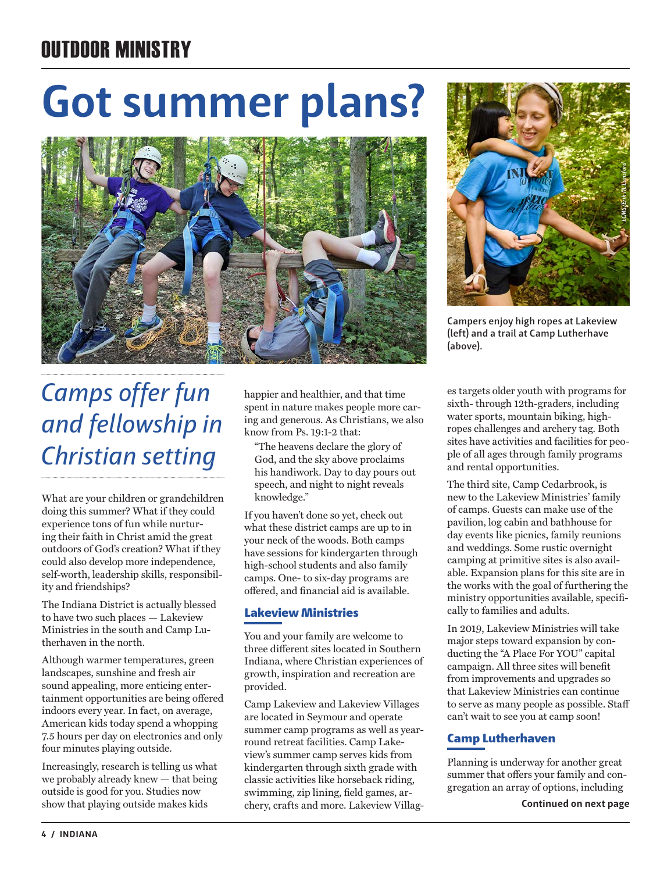## OUTDOOR MINISTRY

## **Got summer plans?**





**Campers enjoy high ropes at Lakeview (left) and a trail at Camp Lutherhave (above).**

## *Camps offer fun and fellowship in Christian setting*

What are your children or grandchildren doing this summer? What if they could experience tons of fun while nurturing their faith in Christ amid the great outdoors of God's creation? What if they could also develop more independence, self-worth, leadership skills, responsibility and friendships?

The Indiana District is actually blessed to have two such places — Lakeview Ministries in the south and Camp Lutherhaven in the north.

Although warmer temperatures, green landscapes, sunshine and fresh air sound appealing, more enticing entertainment opportunities are being offered indoors every year. In fact, on average, American kids today spend a whopping 7.5 hours per day on electronics and only four minutes playing outside.

Increasingly, research is telling us what we probably already knew — that being outside is good for you. Studies now show that playing outside makes kids

happier and healthier, and that time spent in nature makes people more caring and generous. As Christians, we also know from Ps. 19:1-2 that:

"The heavens declare the glory of God, and the sky above proclaims his handiwork. Day to day pours out speech, and night to night reveals knowledge."

If you haven't done so yet, check out what these district camps are up to in your neck of the woods. Both camps have sessions for kindergarten through high-school students and also family camps. One- to six-day programs are offered, and financial aid is available.

#### Lakeview Ministries

You and your family are welcome to three different sites located in Southern Indiana, where Christian experiences of growth, inspiration and recreation are provided.

Camp Lakeview and Lakeview Villages are located in Seymour and operate summer camp programs as well as yearround retreat facilities. Camp Lakeview's summer camp serves kids from kindergarten through sixth grade with classic activities like horseback riding, swimming, zip lining, field games, archery, crafts and more. Lakeview Villages targets older youth with programs for sixth- through 12th-graders, including water sports, mountain biking, highropes challenges and archery tag. Both sites have activities and facilities for people of all ages through family programs and rental opportunities.

The third site, Camp Cedarbrook, is new to the Lakeview Ministries' family of camps. Guests can make use of the pavilion, log cabin and bathhouse for day events like picnics, family reunions and weddings. Some rustic overnight camping at primitive sites is also available. Expansion plans for this site are in the works with the goal of furthering the ministry opportunities available, specifically to families and adults.

In 2019, Lakeview Ministries will take major steps toward expansion by conducting the "A Place For YOU" capital campaign. All three sites will benefit from improvements and upgrades so that Lakeview Ministries can continue to serve as many people as possible. Staff can't wait to see you at camp soon!

#### Camp Lutherhaven

Planning is underway for another great summer that offers your family and congregation an array of options, including

Continued on next page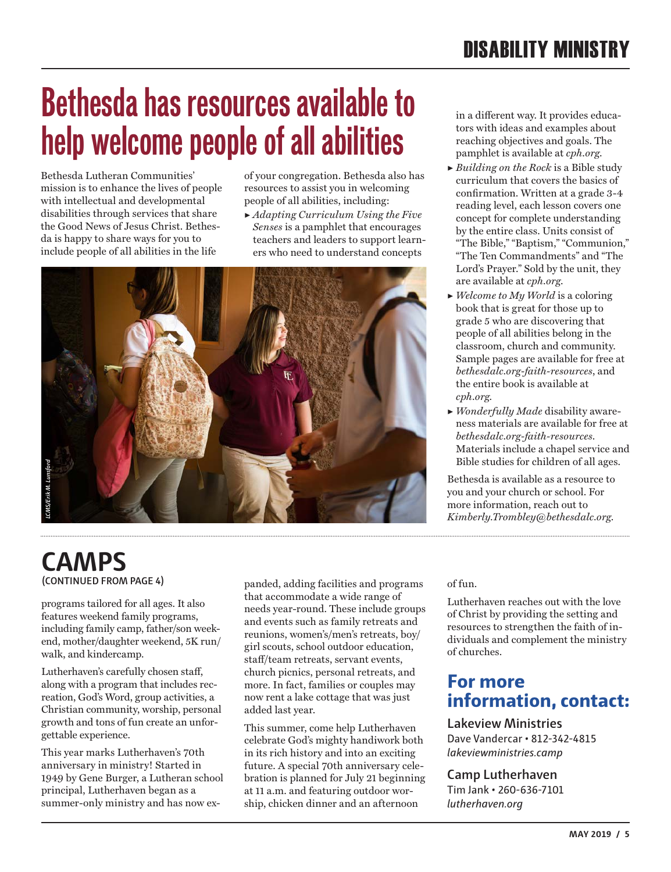## **Bethesda has resources available to help welcome people of all abilities**

Bethesda Lutheran Communities' mission is to enhance the lives of people with intellectual and developmental disabilities through services that share the Good News of Jesus Christ. Bethesda is happy to share ways for you to include people of all abilities in the life

of your congregation. Bethesda also has resources to assist you in welcoming people of all abilities, including:

▶ *Adapting Curriculum Using the Five Senses* is a pamphlet that encourages teachers and leaders to support learners who need to understand concepts



in a different way. It provides educators with ideas and examples about reaching objectives and goals. The pamphlet is available at *cph.org*.

- ▶ *Building on the Rock* is a Bible study curriculum that covers the basics of confirmation. Written at a grade 3-4 reading level, each lesson covers one concept for complete understanding by the entire class. Units consist of "The Bible," "Baptism," "Communion," "The Ten Commandments" and "The Lord's Prayer." Sold by the unit, they are available at *cph.org*.
- ▶ *Welcome to My World* is a coloring book that is great for those up to grade 5 who are discovering that people of all abilities belong in the classroom, church and community. Sample pages are available for free at *bethesdalc.org-faith-resources*, and the entire book is available at *cph.org.*
- ▶ *Wonderfully Made* disability awareness materials are available for free at *bethesdalc.org-faith-resources*. Materials include a chapel service and Bible studies for children of all ages.

Bethesda is available as a resource to you and your church or school. For more information, reach out to *Kimberly.Trombley@bethesdalc.org*.

### **(CONTINUED FROM PAGE 4) CAMPS** *LCMS/Erik M. Lunsford*

programs tailored for all ages. It also features weekend family programs, including family camp, father/son weekend, mother/daughter weekend, 5K run/ walk, and kindercamp.

Lutherhaven's carefully chosen staff, along with a program that includes recreation, God's Word, group activities, a Christian community, worship, personal growth and tons of fun create an unforgettable experience.

This year marks Lutherhaven's 70th anniversary in ministry! Started in 1949 by Gene Burger, a Lutheran school principal, Lutherhaven began as a summer-only ministry and has now expanded, adding facilities and programs that accommodate a wide range of needs year-round. These include groups and events such as family retreats and reunions, women's/men's retreats, boy/ girl scouts, school outdoor education, staff/team retreats, servant events, church picnics, personal retreats, and more. In fact, families or couples may now rent a lake cottage that was just added last year.

This summer, come help Lutherhaven celebrate God's mighty handiwork both in its rich history and into an exciting future. A special 70th anniversary celebration is planned for July 21 beginning at 11 a.m. and featuring outdoor worship, chicken dinner and an afternoon

of fun.

Lutherhaven reaches out with the love of Christ by providing the setting and resources to strengthen the faith of individuals and complement the ministry of churches.

#### **For more information, contact:**

#### **Lakeview Ministries** Dave Vandercar • 812-342-4815

*lakeviewministries.camp*

#### **Camp Lutherhaven**

Tim Jank • 260-636-7101 *lutherhaven.org*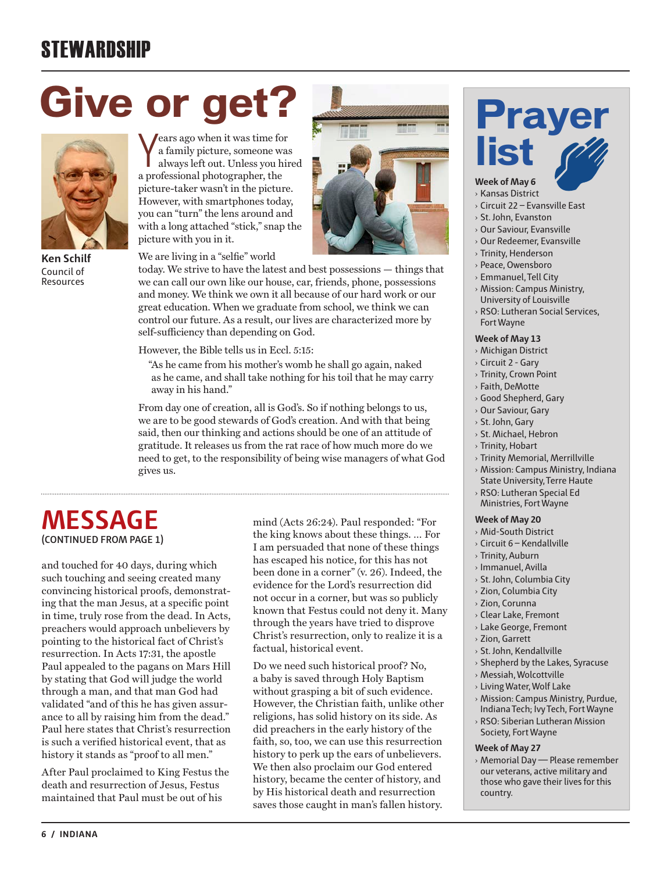## **STEWARDSHIP**

## **Give or get?**



**Ken Schilf** Council of Resources

Years ago when it was time for<br>a family picture, someone was<br>always left out. Unless you hired a family picture, someone was always left out. Unless you hired a professional photographer, the picture-taker wasn't in the picture. However, with smartphones today, you can "turn" the lens around and with a long attached "stick," snap the picture with you in it.



We are living in a "selfie" world

today. We strive to have the latest and best possessions — things that we can call our own like our house, car, friends, phone, possessions and money. We think we own it all because of our hard work or our great education. When we graduate from school, we think we can control our future. As a result, our lives are characterized more by self-sufficiency than depending on God.

However, the Bible tells us in Eccl. 5:15:

"As he came from his mother's womb he shall go again, naked as he came, and shall take nothing for his toil that he may carry away in his hand."

From day one of creation, all is God's. So if nothing belongs to us, we are to be good stewards of God's creation. And with that being said, then our thinking and actions should be one of an attitude of gratitude. It releases us from the rat race of how much more do we need to get, to the responsibility of being wise managers of what God gives us.

#### **(CONTINUED FROM PAGE 1) MESSAGE**

and touched for 40 days, during which such touching and seeing created many convincing historical proofs, demonstrating that the man Jesus, at a specific point in time, truly rose from the dead. In Acts, preachers would approach unbelievers by pointing to the historical fact of Christ's resurrection. In Acts 17:31, the apostle Paul appealed to the pagans on Mars Hill by stating that God will judge the world through a man, and that man God had validated "and of this he has given assurance to all by raising him from the dead." Paul here states that Christ's resurrection is such a verified historical event, that as history it stands as "proof to all men."

After Paul proclaimed to King Festus the death and resurrection of Jesus, Festus maintained that Paul must be out of his

mind (Acts 26:24). Paul responded: "For the king knows about these things. … For I am persuaded that none of these things has escaped his notice, for this has not been done in a corner" (v. 26). Indeed, the evidence for the Lord's resurrection did not occur in a corner, but was so publicly known that Festus could not deny it. Many through the years have tried to disprove Christ's resurrection, only to realize it is a factual, historical event.

Do we need such historical proof? No, a baby is saved through Holy Baptism without grasping a bit of such evidence. However, the Christian faith, unlike other religions, has solid history on its side. As did preachers in the early history of the faith, so, too, we can use this resurrection history to perk up the ears of unbelievers. We then also proclaim our God entered history, became the center of history, and by His historical death and resurrection saves those caught in man's fallen history.

# **Prayer**

#### **Week of May 6**

- › Kansas District › Circuit 22 – Evansville East
- › St. John, Evanston
- 
- › Our Saviour, Evansville › Our Redeemer, Evansville
- › Trinity, Henderson
- › Peace, Owensboro
- › Emmanuel, Tell City
- › Mission: Campus Ministry, University of Louisville
- › RSO: Lutheran Social Services, Fort Wayne

#### **Week of May 13**

- › Michigan District
- › Circuit 2 Gary
- › Trinity, Crown Point
- › Faith, DeMotte
- › Good Shepherd, Gary
- › Our Saviour, Gary
- › St. John, Gary
- › St. Michael, Hebron
- › Trinity, Hobart
- › Trinity Memorial, Merrillville
- › Mission: Campus Ministry, Indiana State University, Terre Haute
- › RSO: Lutheran Special Ed Ministries, Fort Wayne

#### **Week of May 20**

- › Mid-South District
- › Circuit 6 Kendallville
- › Trinity, Auburn
- › Immanuel, Avilla
- › St. John, Columbia City
- › Zion, Columbia City
- › Zion, Corunna
- › Clear Lake, Fremont
- › Lake George, Fremont
- › Zion, Garrett
- › St. John, Kendallville
- › Shepherd by the Lakes, Syracuse
- › Messiah, Wolcottville
- › Living Water, Wolf Lake
- › Mission: Campus Ministry, Purdue,
- Indiana Tech; Ivy Tech, Fort Wayne › RSO: Siberian Lutheran Mission Society, Fort Wayne

#### **Week of May 27**

› Memorial Day — Please remember our veterans, active military and those who gave their lives for this country.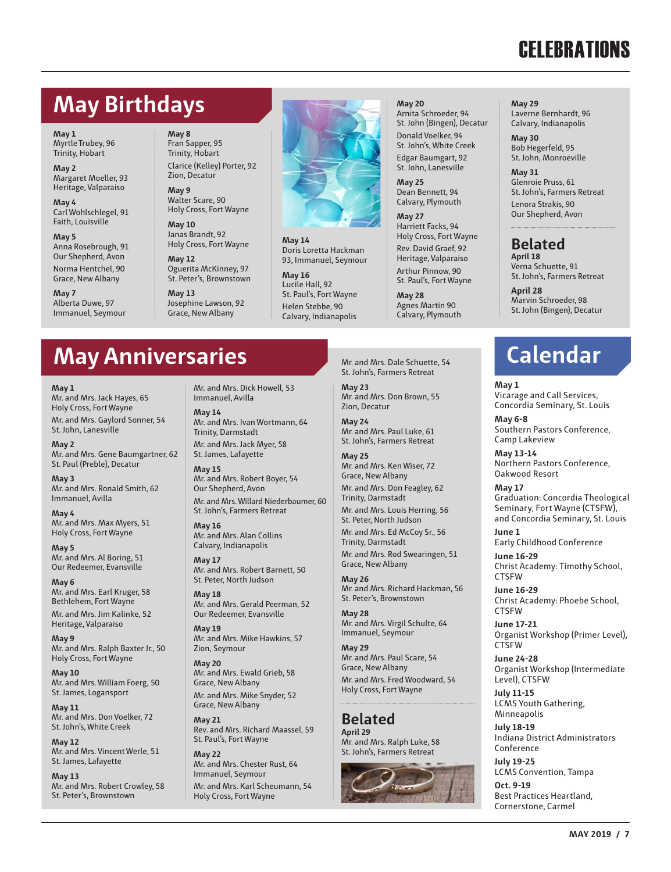## **CELEBRATIONS**

### **May Birthdays**

**May 1** Myrtle Trubey, 96 Trinity, Hobart

**May 2** Margaret Moeller, 93 Heritage, Valparaiso

**May 4** Carl Wohlschlegel, 91 Faith, Louisville

**May 5** Anna Rosebrough, 91 Our Shepherd, Avon Norma Hentchel, 90 Grace, New Albany

**May 7** Alberta Duwe, 97 Immanuel, Seymour

**May 8** Fran Sapper, 95 Trinity, Hobart Clarice (Kelley) Porter, 92 Zion, Decatur

**May 9** Walter Scare, 90 Holy Cross, Fort Wayne

**May 10** Janas Brandt, 92 Holy Cross, Fort Wayne

**May 12** Oguerita McKinney, 97 St. Peter's, Brownstown

**May 13** Josephine Lawson, 92 Grace, New Albany



**May 14** Doris Loretta Hackman 93, Immanuel, Seymour

**May 16** Lucile Hall, 92 St. Paul's, Fort Wayne Helen Stebbe, 90 Calvary, Indianapolis **May 20**

Arnita Schroeder, 94 St. John (Bingen), Decatur Donald Voelker, 94 St. John's, White Creek Edgar Baumgart, 92 St. John, Lanesville

**May 25** Dean Bennett, 94 Calvary, Plymouth

**May 27** Harriett Facks, 94 Holy Cross, Fort Wayne Rev. David Graef, 92 Heritage, Valparaiso Arthur Pinnow, 90 St. Paul's, Fort Wayne

**May 28** Agnes Martin 90 Calvary, Plymouth **May 29** Laverne Bernhardt, 96 Calvary, Indianapolis

**May 30** Bob Hegerfeld, 95 St. John, Monroeville

**May 31** Glenroie Pruss, 61 St. John's, Farmers Retreat Lenora Strakis, 90 Our Shepherd, Avon

#### **Belated**

**April 18** Verna Schuette, 91 St. John's, Farmers Retreat

**April 28** Marvin Schroeder, 98 St. John (Bingen), Decatur

### **Calendar**

#### **May 1**

Vicarage and Call Services, Concordia Seminary, St. Louis

**May 6-8** Southern Pastors Conference, Camp Lakeview

**May 13-14** Northern Pastors Conference, Oakwood Resort

#### **May 17**

Graduation: Concordia Theological Seminary, Fort Wayne (CTSFW), and Concordia Seminary, St. Louis

**June 1** Early Childhood Conference

**June 16-29** Christ Academy: Timothy School, **CTSFW** 

**June 16-29** Christ Academy: Phoebe School, CTSFW

**June 17-21** Organist Workshop (Primer Level), CTSFW

**June 24-28** Organist Workshop (Intermediate Level), CTSFW

**July 11-15** LCMS Youth Gathering, Minneapolis

**July 18-19** Indiana District Administrators **Conference** 

**July 19-25** LCMS Convention, Tampa **Oct. 9-19**

Best Practices Heartland, Cornerstone, Carmel

### **May Anniversaries**

#### **May 1**

Mr. and Mrs. Jack Hayes, 65 Holy Cross, Fort Wayne Mr. and Mrs. Gaylord Sonner, 54 St. John, Lanesville

**May 2** Mr. and Mrs. Gene Baumgartner, 62 St. Paul (Preble), Decatur

**May 3** Mr. and Mrs. Ronald Smith, 62 Immanuel, Avilla

**May 4** Mr. and Mrs. Max Myers, 51 Holy Cross, Fort Wayne

**May 5** Mr. and Mrs. Al Boring, 51 Our Redeemer, Evansville

**May 6** Mr. and Mrs. Earl Kruger, 58 Bethlehem, Fort Wayne Mr. and Mrs. Jim Kalinke, 52 Heritage, Valparaiso

**May 9** Mr. and Mrs. Ralph Baxter Jr., 50 Holy Cross, Fort Wayne

**May 10** Mr. and Mrs. William Foerg, 50 St. James, Logansport

**May 11** Mr. and Mrs. Don Voelker, 72 St. John's, White Creek

**May 12** Mr. and Mrs. Vincent Werle, 51 St. James, Lafayette

**May 13** Mr. and Mrs. Robert Crowley, 58 St. Peter's, Brownstown

Mr. and Mrs. Dick Howell, 53 Immanuel, Avilla

**May 14** Mr. and Mrs. Ivan Wortmann, 64 Trinity, Darmstadt Mr. and Mrs. Jack Myer, 58

St. James, Lafayette **May 15** Mr. and Mrs. Robert Boyer, 54

Our Shepherd, Avon Mr. and Mrs. Willard Niederbaumer, 60 St. John's, Farmers Retreat

**May 16** Mr. and Mrs. Alan Collins Calvary, Indianapolis

**May 17** Mr. and Mrs. Robert Barnett, 50 St. Peter, North Judson

**May 18** Mr. and Mrs. Gerald Peerman, 52 Our Redeemer, Evansville

**May 19** Mr. and Mrs. Mike Hawkins, 57 Zion, Seymour

**May 20** Mr. and Mrs. Ewald Grieb, 58 Grace, New Albany Mr. and Mrs. Mike Snyder, 52

Grace, New Albany

**May 21** Rev. and Mrs. Richard Maassel, 59 St. Paul's, Fort Wayne

**May 22** Mr. and Mrs. Chester Rust, 64 Immanuel, Seymour Mr. and Mrs. Karl Scheumann, 54 Holy Cross, Fort Wayne

Mr. and Mrs. Dale Schuette, 54 St. John's, Farmers Retreat

**May 23** Mr. and Mrs. Don Brown, 55 Zion, Decatur

**May 24** Mr. and Mrs. Paul Luke, 61 St. John's, Farmers Retreat

**May 25** Mr. and Mrs. Ken Wiser, 72 Grace, New Albany Mr. and Mrs. Don Feagley, 62 Trinity, Darmstadt Mr. and Mrs. Louis Herring, 56 St. Peter, North Judson Mr. and Mrs. Ed McCoy Sr., 56 Trinity, Darmstadt Mr. and Mrs. Rod Swearingen, 51

Grace, New Albany **May 26**

Mr. and Mrs. Richard Hackman, 56 St. Peter's, Brownstown

**May 28** Mr. and Mrs. Virgil Schulte, 64 Immanuel, Seymour

**May 29** Mr. and Mrs. Paul Scare, 54 Grace, New Albany Mr. and Mrs. Fred Woodward, 54

Holy Cross, Fort Wayne

**Belated April 29** Mr. and Mrs. Ralph Luke, 58 St. John's, Farmers Retreat